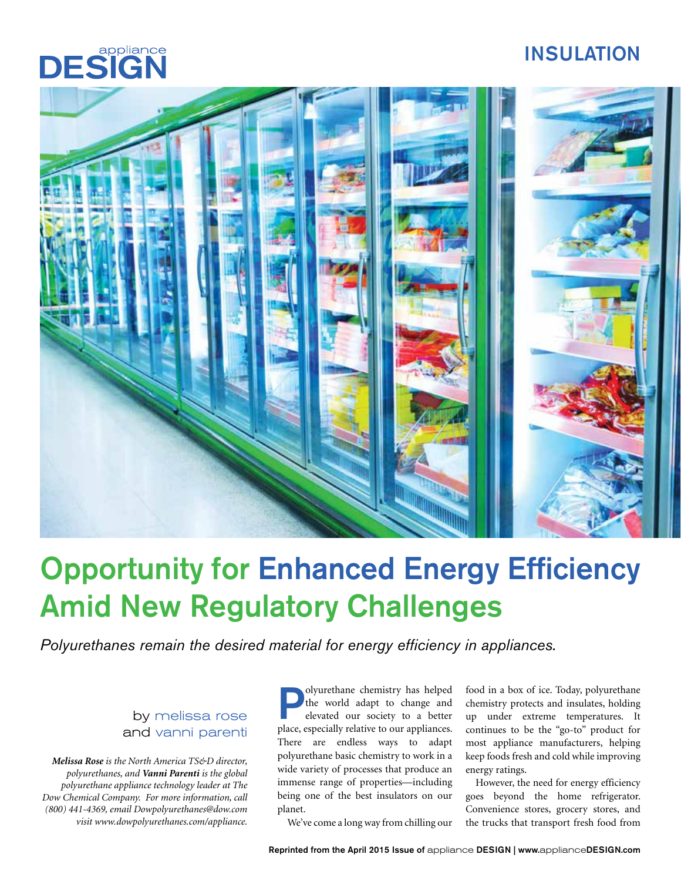# INSULATION





# Opportunity for Enhanced Energy Efficiency Amid New Regulatory Challenges

*Polyurethanes remain the desired material for energy efficiency in appliances.*

## by melissa rose and vanni parenti

*Melissa Rose is the North America TS&D director, polyurethanes, and Vanni Parenti is the global polyurethane appliance technology leader at The Dow Chemical Company. For more information, call (800) 441-4369, email Dowpolyurethanes@dow.com visit www.dowpolyurethanes.com/appliance.* 

**Polyurethane chemistry has helped**<br>the world adapt to change and<br>elevated our society to a better the world adapt to change and elevated our society to a better place, especially relative to our appliances. There are endless ways to adapt polyurethane basic chemistry to work in a wide variety of processes that produce an immense range of properties—including being one of the best insulators on our planet.

food in a box of ice. Today, polyurethane chemistry protects and insulates, holding up under extreme temperatures. It continues to be the "go-to" product for most appliance manufacturers, helping keep foods fresh and cold while improving energy ratings.

However, the need for energy efficiency goes beyond the home refrigerator. Convenience stores, grocery stores, and the trucks that transport fresh food from

We've come a long way from chilling our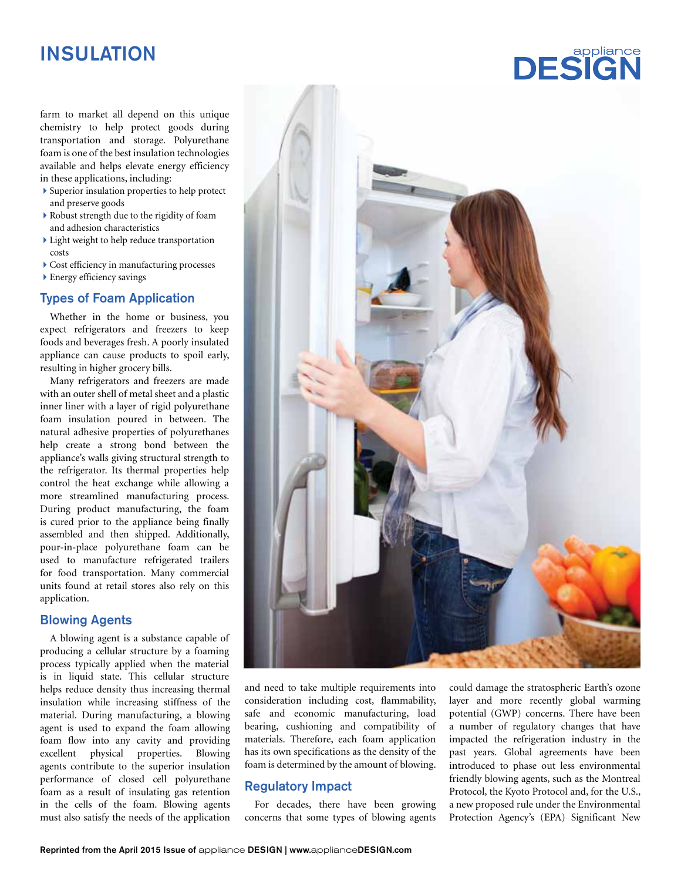# INSULATION

farm to market all depend on this unique chemistry to help protect goods during transportation and storage. Polyurethane foam is one of the best insulation technologies available and helps elevate energy efficiency in these applications, including:

- Superior insulation properties to help protect and preserve goods
- Robust strength due to the rigidity of foam and adhesion characteristics
- Light weight to help reduce transportation costs
- Cost efficiency in manufacturing processes
- Energy efficiency savings

#### Types of Foam Application

Whether in the home or business, you expect refrigerators and freezers to keep foods and beverages fresh. A poorly insulated appliance can cause products to spoil early, resulting in higher grocery bills.

Many refrigerators and freezers are made with an outer shell of metal sheet and a plastic inner liner with a layer of rigid polyurethane foam insulation poured in between. The natural adhesive properties of polyurethanes help create a strong bond between the appliance's walls giving structural strength to the refrigerator. Its thermal properties help control the heat exchange while allowing a more streamlined manufacturing process. During product manufacturing, the foam is cured prior to the appliance being finally assembled and then shipped. Additionally, pour-in-place polyurethane foam can be used to manufacture refrigerated trailers for food transportation. Many commercial units found at retail stores also rely on this application.

#### Blowing Agents

A blowing agent is a substance capable of producing a cellular structure by a foaming process typically applied when the material is in liquid state. This cellular structure helps reduce density thus increasing thermal insulation while increasing stiffness of the material. During manufacturing, a blowing agent is used to expand the foam allowing foam flow into any cavity and providing excellent physical properties. Blowing agents contribute to the superior insulation performance of closed cell polyurethane foam as a result of insulating gas retention in the cells of the foam. Blowing agents must also satisfy the needs of the application



and need to take multiple requirements into consideration including cost, flammability, safe and economic manufacturing, load bearing, cushioning and compatibility of materials. Therefore, each foam application has its own specifications as the density of the foam is determined by the amount of blowing.

## Regulatory Impact

For decades, there have been growing concerns that some types of blowing agents could damage the stratospheric Earth's ozone layer and more recently global warming potential (GWP) concerns. There have been a number of regulatory changes that have impacted the refrigeration industry in the past years. Global agreements have been introduced to phase out less environmental friendly blowing agents, such as the Montreal Protocol, the Kyoto Protocol and, for the U.S., a new proposed rule under the Environmental Protection Agency's (EPA) Significant New

**DESIGN**